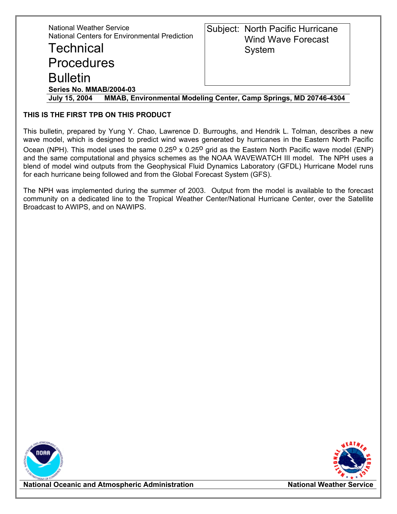| <b>National Weather Service</b><br><b>National Centers for Environmental Prediction</b><br><b>Technical</b><br><b>Procedures</b><br><b>Bulletin</b> | Subject: North Pacific Hurricane<br><b>Wind Wave Forecast</b><br>System |  |  |
|-----------------------------------------------------------------------------------------------------------------------------------------------------|-------------------------------------------------------------------------|--|--|
| Series No. MMAB/2004-03                                                                                                                             |                                                                         |  |  |
| MMAB, Environmental Modeling Center, Camp Springs, MD 20746-4304<br><b>July 15, 2004</b>                                                            |                                                                         |  |  |

## **THIS IS THE FIRST TPB ON THIS PRODUCT**

This bulletin, prepared by Yung Y. Chao, Lawrence D. Burroughs, and Hendrik L. Tolman, describes a new wave model, which is designed to predict wind waves generated by hurricanes in the Eastern North Pacific Ocean (NPH). This model uses the same  $0.25^{\circ}$  x  $0.25^{\circ}$  grid as the Eastern North Pacific wave model (ENP) and the same computational and physics schemes as the NOAA WAVEWATCH III model. The NPH uses a blend of model wind outputs from the Geophysical Fluid Dynamics Laboratory (GFDL) Hurricane Model runs for each hurricane being followed and from the Global Forecast System (GFS).

The NPH was implemented during the summer of 2003. Output from the model is available to the forecast community on a dedicated line to the Tropical Weather Center/National Hurricane Center, over the Satellite Broadcast to AWIPS, and on NAWIPS.





**National Oceanic and Atmospheric Administration National Weather Service**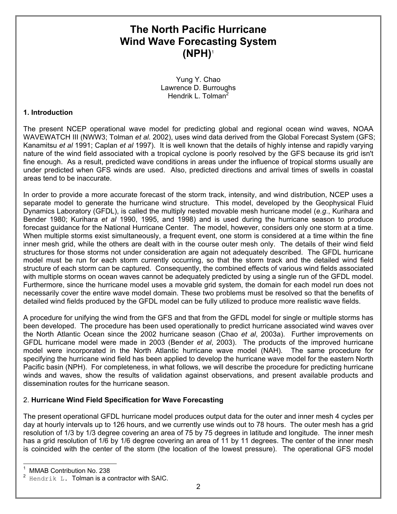# **The North Pacific Hurricane Wind Wave Forecasting System (NPH)**[1](#page-1-0)

Yung Y. Chao Lawrence D. Burroughs Hendrik L. Tolman<sup>[2](#page-1-1)</sup>

### **1. Introduction**

The present NCEP operational wave model for predicting global and regional ocean wind waves, NOAA WAVEWATCH III (NWW3; Tolman *et al.* 2002), uses wind data derived from the Global Forecast System (GFS; Kanamitsu *et al* 1991; Caplan *et al* 1997). It is well known that the details of highly intense and rapidly varying nature of the wind field associated with a tropical cyclone is poorly resolved by the GFS because its grid isn't fine enough. As a result, predicted wave conditions in areas under the influence of tropical storms usually are under predicted when GFS winds are used. Also, predicted directions and arrival times of swells in coastal areas tend to be inaccurate.

In order to provide a more accurate forecast of the storm track, intensity, and wind distribution, NCEP uses a separate model to generate the hurricane wind structure. This model, developed by the Geophysical Fluid Dynamics Laboratory (GFDL), is called the multiply nested movable mesh hurricane model (*e.g*., Kurihara and Bender 1980; Kurihara *et al* 1990, 1995, and 1998) and is used during the hurricane season to produce forecast guidance for the National Hurricane Center. The model, however, considers only one storm at a time. When multiple storms exist simultaneously, a frequent event, one storm is considered at a time within the fine inner mesh grid, while the others are dealt with in the course outer mesh only. The details of their wind field structures for those storms not under consideration are again not adequately described. The GFDL hurricane model must be run for each storm currently occurring, so that the storm track and the detailed wind field structure of each storm can be captured. Consequently, the combined effects of various wind fields associated with multiple storms on ocean waves cannot be adequately predicted by using a single run of the GFDL model. Furthermore, since the hurricane model uses a movable grid system, the domain for each model run does not necessarily cover the entire wave model domain. These two problems must be resolved so that the benefits of detailed wind fields produced by the GFDL model can be fully utilized to produce more realistic wave fields.

A procedure for unifying the wind from the GFS and that from the GFDL model for single or multiple storms has been developed. The procedure has been used operationally to predict hurricane associated wind waves over the North Atlantic Ocean since the 2002 hurricane season (Chao *et al*, 2003a). Further improvements on GFDL hurricane model were made in 2003 (Bender *et al*, 2003). The products of the improved hurricane model were incorporated in the North Atlantic hurricane wave model (NAH). The same procedure for specifying the hurricane wind field has been applied to develop the hurricane wave model for the eastern North Pacific basin (NPH). For completeness, in what follows, we will describe the procedure for predicting hurricane winds and waves, show the results of validation against observations, and present available products and dissemination routes for the hurricane season.

## 2. **Hurricane Wind Field Specification for Wave Forecasting**

The present operational GFDL hurricane model produces output data for the outer and inner mesh 4 cycles per day at hourly intervals up to 126 hours, and we currently use winds out to 78 hours. The outer mesh has a grid resolution of 1/3 by 1/3 degree covering an area of 75 by 75 degrees in latitude and longitude. The inner mesh has a grid resolution of 1/6 by 1/6 degree covering an area of 11 by 11 degrees. The center of the inner mesh is coincided with the center of the storm (the location of the lowest pressure). The operational GFS model

<span id="page-1-0"></span> $\frac{1}{1}$ MMAB Contribution No. 238

<span id="page-1-1"></span><sup>2</sup> Hendrik L. Tolman is a contractor with SAIC.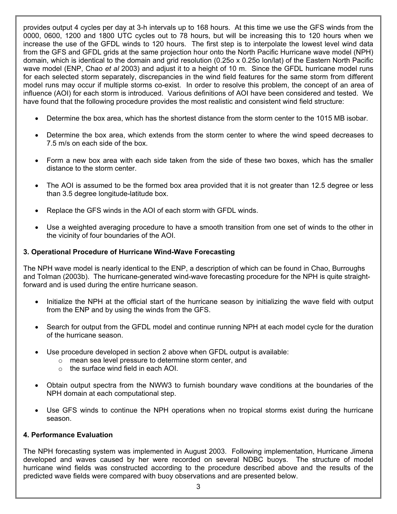provides output 4 cycles per day at 3-h intervals up to 168 hours. At this time we use the GFS winds from the 0000, 0600, 1200 and 1800 UTC cycles out to 78 hours, but will be increasing this to 120 hours when we increase the use of the GFDL winds to 120 hours. The first step is to interpolate the lowest level wind data from the GFS and GFDL grids at the same projection hour onto the North Pacific Hurricane wave model (NPH) domain, which is identical to the domain and grid resolution (0.25o x 0.25o lon/lat) of the Eastern North Pacific wave model (ENP, Chao *et al* 2003) and adjust it to a height of 10 m. Since the GFDL hurricane model runs for each selected storm separately, discrepancies in the wind field features for the same storm from different model runs may occur if multiple storms co-exist. In order to resolve this problem, the concept of an area of influence (AOI) for each storm is introduced. Various definitions of AOI have been considered and tested. We have found that the following procedure provides the most realistic and consistent wind field structure:

- Determine the box area, which has the shortest distance from the storm center to the 1015 MB isobar.
- Determine the box area, which extends from the storm center to where the wind speed decreases to 7.5 m/s on each side of the box.
- Form a new box area with each side taken from the side of these two boxes, which has the smaller distance to the storm center.
- The AOI is assumed to be the formed box area provided that it is not greater than 12.5 degree or less than 3.5 degree longitude-latitude box.
- Replace the GFS winds in the AOI of each storm with GFDL winds.
- Use a weighted averaging procedure to have a smooth transition from one set of winds to the other in the vicinity of four boundaries of the AOI.

#### **3. Operational Procedure of Hurricane Wind-Wave Forecasting**

The NPH wave model is nearly identical to the ENP, a description of which can be found in Chao, Burroughs and Tolman (2003b). The hurricane-generated wind-wave forecasting procedure for the NPH is quite straightforward and is used during the entire hurricane season.

- Initialize the NPH at the official start of the hurricane season by initializing the wave field with output from the ENP and by using the winds from the GFS.
- Search for output from the GFDL model and continue running NPH at each model cycle for the duration of the hurricane season.
- Use procedure developed in section 2 above when GFDL output is available:
	- o mean sea level pressure to determine storm center, and
	- o the surface wind field in each AOI.
- Obtain output spectra from the NWW3 to furnish boundary wave conditions at the boundaries of the NPH domain at each computational step.
- Use GFS winds to continue the NPH operations when no tropical storms exist during the hurricane season.

#### **4. Performance Evaluation**

The NPH forecasting system was implemented in August 2003. Following implementation, Hurricane Jimena developed and waves caused by her were recorded on several NDBC buoys. The structure of model hurricane wind fields was constructed according to the procedure described above and the results of the predicted wave fields were compared with buoy observations and are presented below.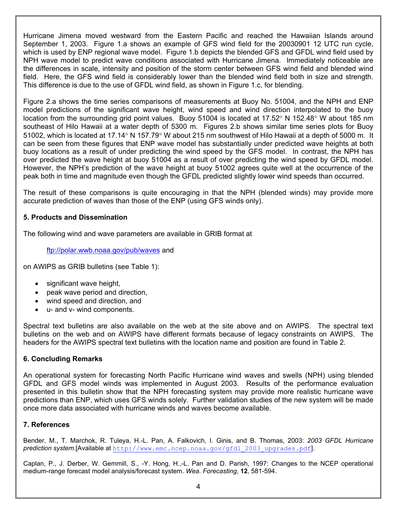Hurricane Jimena moved westward from the Eastern Pacific and reached the Hawaiian Islands around September 1, 2003. Figure 1.a shows an example of GFS wind field for the 20030901 12 UTC run cycle, which is used by ENP regional wave model. Figure 1.b depicts the blended GFS and GFDL wind field used by NPH wave model to predict wave conditions associated with Hurricane Jimena. Immediately noticeable are the differences in scale, intensity and position of the storm center between GFS wind field and blended wind field. Here, the GFS wind field is considerably lower than the blended wind field both in size and strength. This difference is due to the use of GFDL wind field, as shown in Figure 1.c, for blending.

Figure 2.a shows the time series comparisons of measurements at Buoy No. 51004, and the NPH and ENP model predictions of the significant wave height, wind speed and wind direction interpolated to the buoy location from the surrounding grid point values. Buoy 51004 is located at 17.52° N 152.48° W about 185 nm southeast of Hilo Hawaii at a water depth of 5300 m. Figures 2.b shows similar time series plots for Buoy 51002, which is located at 17.14° N 157.79° W about 215 nm southwest of Hilo Hawaii at a depth of 5000 m. It can be seen from these figures that ENP wave model has substantially under predicted wave heights at both buoy locations as a result of under predicting the wind speed by the GFS model. In contrast, the NPH has over predicted the wave height at buoy 51004 as a result of over predicting the wind speed by GFDL model. However, the NPH's prediction of the wave height at buoy 51002 agrees quite well at the occurrence of the peak both in time and magnitude even though the GFDL predicted slightly lower wind speeds than occurred.

The result of these comparisons is quite encouraging in that the NPH (blended winds) may provide more accurate prediction of waves than those of the ENP (using GFS winds only).

## **5. Products and Dissemination**

The following wind and wave parameters are available in GRIB format at

<ftp://polar.wwb.noaa.gov/pub/waves>and

on AWIPS as GRIB bulletins (see Table 1):

- significant wave height,
- peak wave period and direction,
- wind speed and direction, and
- u- and v- wind components.

Spectral text bulletins are also available on the web at the site above and on AWIPS. The spectral text bulletins on the web and on AWIPS have different formats because of legacy constraints on AWIPS. The headers for the AWIPS spectral text bulletins with the location name and position are found in Table 2.

## **6. Concluding Remarks**

An operational system for forecasting North Pacific Hurricane wind waves and swells (NPH) using blended GFDL and GFS model winds was implemented in August 2003. Results of the performance evaluation presented in this bulletin show that the NPH forecasting system may provide more realistic hurricane wave predictions than ENP, which uses GFS winds solely. Further validation studies of the new system will be made once more data associated with hurricane winds and waves become available.

## **7. References**

Bender, M., T. Marchok, R. Tuleya, H.-L. Pan, A. Falkovich, I. Ginis, and B. Thomas, 2003: *2003 GFDL Hurricane prediction system*.[Available at [http://www.emc.ncep.noaa.gov/gfdl\\_2003\\_upgrades.pdf](http://www.emc.ncep.noaa.gov/gfdl_2003_upgrades.pdf)].

Caplan, P., J. Derber, W. Gemmill, S., -Y. Hong, H.,-L. Pan and D. Parish, 1997: Changes to the NCEP operational medium-range forecast model analysis/forecast system*. Wea. Forecasting*, **12**, 581-594.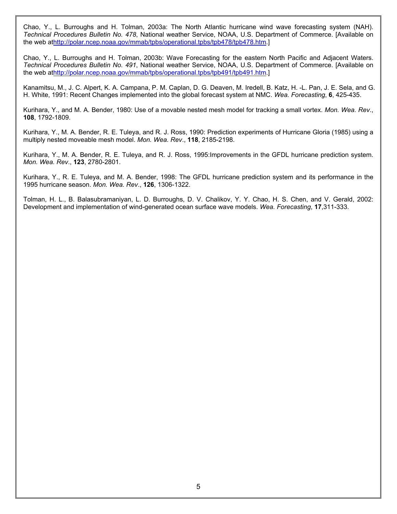Chao, Y., L. Burroughs and H. Tolman, 2003a: The North Atlantic hurricane wind wave forecasting system (NAH). *Technical Procedures Bulletin No. 478*, National weather Service, NOAA, U.S. Department of Commerce. [Available on the web a[thttp://polar.ncep.noaa.gov/mmab/tpbs/operational.tpbs/tpb478/tpb478.htm.](http://polar.ncep.noaa.gov/mmab/tpbs/operational.tpbs/tpb478/tpb478.htm)]

Chao, Y., L. Burroughs and H. Tolman, 2003b: Wave Forecasting for the eastern North Pacific and Adjacent Waters. *Technical Procedures Bulletin No. 491*, National weather Service, NOAA, U.S. Department of Commerce. [Available on the web a[thttp://polar.ncep.noaa.gov/mmab/tpbs/operational.tpbs/tpb491/tpb491.htm.](http://polar.ncep.noaa.gov/mmab/tpbs/operational.tpbs/tpb491/tpb491.htm)]

Kanamitsu, M., J. C. Alpert, K. A. Campana, P. M. Caplan, D. G. Deaven, M. Iredell, B. Katz, H. -L. Pan, J. E. Sela, and G. H. White, 1991: Recent Changes implemented into the global forecast system at NMC. *Wea. Forecasting*, **6**, 425-435.

Kurihara, Y., and M. A. Bender, 1980: Use of a movable nested mesh model for tracking a small vortex. *Mon. Wea. Rev*., **108**, 1792-1809.

Kurihara, Y., M. A. Bender, R. E. Tuleya, and R. J. Ross, 1990: Prediction experiments of Hurricane Gloria (1985) using a multiply nested moveable mesh model. *Mon. Wea. Rev*., **118**, 2185-2198.

Kurihara, Y., M. A. Bender, R. E. Tuleya, and R. J. Ross, 1995:Improvements in the GFDL hurricane prediction system. *Mon. Wea. Rev*., **123**, 2780-2801.

Kurihara, Y., R. E. Tuleya, and M. A. Bender, 1998: The GFDL hurricane prediction system and its performance in the 1995 hurricane season. *Mon. Wea. Rev*., **126**, 1306-1322.

Tolman, H. L., B. Balasubramaniyan, L. D. Burroughs, D. V. Chalikov, Y. Y. Chao, H. S. Chen, and V. Gerald, 2002: Development and implementation of wind-generated ocean surface wave models. *Wea. Forecasting*, **17**,311-333.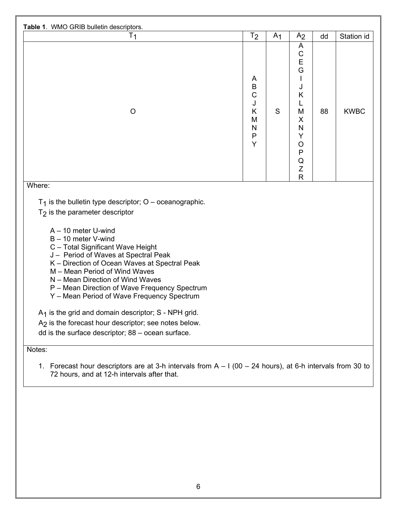| $T_1$                                                                                                                                                                                                                                                                                                                                                                                                                                                                                                                                                                         | T <sub>2</sub>                                                  | A <sub>1</sub> | A <sub>2</sub>                                                                                                                                         | dd | Station id  |
|-------------------------------------------------------------------------------------------------------------------------------------------------------------------------------------------------------------------------------------------------------------------------------------------------------------------------------------------------------------------------------------------------------------------------------------------------------------------------------------------------------------------------------------------------------------------------------|-----------------------------------------------------------------|----------------|--------------------------------------------------------------------------------------------------------------------------------------------------------|----|-------------|
| $\circ$                                                                                                                                                                                                                                                                                                                                                                                                                                                                                                                                                                       | A<br>B<br>$\mathsf{C}$<br>J<br>K<br>M<br>N<br>$\mathsf{P}$<br>Y | S              | A<br>$\mathsf C$<br>E<br>G<br>$\mathbf{I}$<br>J<br>K<br>L<br>M<br>X<br>N<br>Y<br>$\circ$<br>$\mathsf{P}$<br>$\mathsf Q$<br>$\mathsf Z$<br>$\mathsf{R}$ | 88 | <b>KWBC</b> |
| $T_1$ is the bulletin type descriptor; O – oceanographic.<br>$T2$ is the parameter descriptor<br>$A - 10$ meter U-wind<br>B - 10 meter V-wind<br>C - Total Significant Wave Height<br>J - Period of Waves at Spectral Peak<br>K - Direction of Ocean Waves at Spectral Peak<br>M - Mean Period of Wind Waves<br>N - Mean Direction of Wind Waves<br>P - Mean Direction of Wave Frequency Spectrum<br>Y - Mean Period of Wave Frequency Spectrum<br>$A_1$ is the grid and domain descriptor; S - NPH grid.<br>A <sub>2</sub> is the forecast hour descriptor; see notes below. |                                                                 |                |                                                                                                                                                        |    |             |
|                                                                                                                                                                                                                                                                                                                                                                                                                                                                                                                                                                               |                                                                 |                |                                                                                                                                                        |    |             |

1. Forecast hour descriptors are at 3-h intervals from A – I (00 – 24 hours), at 6-h intervals from 30 to 72 hours, and at 12-h intervals after that.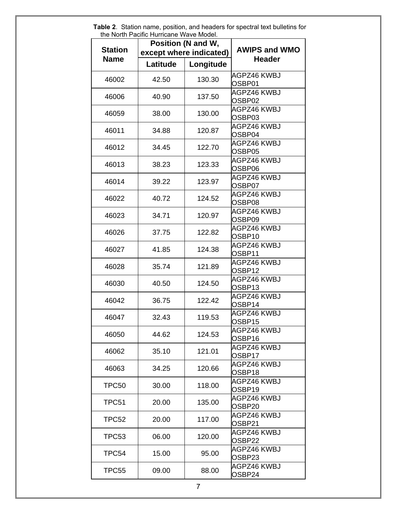| Position (N and W,                        |          |                      |                              |  |  |
|-------------------------------------------|----------|----------------------|------------------------------|--|--|
| <b>Station</b><br>except where indicated) |          | <b>AWIPS and WMO</b> |                              |  |  |
| <b>Name</b>                               |          |                      | <b>Header</b>                |  |  |
|                                           | Latitude | Longitude            |                              |  |  |
| 46002                                     | 42.50    | 130.30               | AGPZ46 KWBJ<br>OSBP01        |  |  |
| 46006                                     | 40.90    | 137.50               | AGPZ46 KWBJ<br>OSBP02        |  |  |
| 46059                                     | 38.00    | 130.00               | AGPZ46 KWBJ<br>OSBP03        |  |  |
| 46011                                     | 34.88    | 120.87               | AGPZ46 KWBJ<br>OSBP04        |  |  |
| 46012                                     | 34.45    | 122.70               | AGPZ46 KWBJ<br>OSBP05        |  |  |
| 46013                                     | 38.23    | 123.33               | AGPZ46 KWBJ<br>OSBP06        |  |  |
| 46014                                     | 39.22    | 123.97               | AGPZ46 KWBJ<br>OSBP07        |  |  |
| 46022                                     | 40.72    | 124.52               | <b>AGPZ46 KWBJ</b><br>OSBP08 |  |  |
| 46023                                     | 34.71    | 120.97               | AGPZ46 KWBJ<br>OSBP09        |  |  |
| 46026                                     | 37.75    | 122.82               | AGPZ46 KWBJ<br>OSBP10        |  |  |
| 46027                                     | 41.85    | 124.38               | <b>AGPZ46 KWBJ</b><br>OSBP11 |  |  |
| 46028                                     | 35.74    | 121.89               | AGPZ46 KWBJ<br>OSBP12        |  |  |
| 46030                                     | 40.50    | 124.50               | AGPZ46 KWBJ<br>OSBP13        |  |  |
| 46042                                     | 36.75    | 122.42               | AGPZ46 KWBJ<br>OSBP14        |  |  |
| 46047                                     | 32.43    | 119.53               | AGPZ46 KWBJ<br>OSBP15        |  |  |
| 46050                                     | 44.62    | 124.53               | <b>AGPZ46 KWBJ</b><br>OSBP16 |  |  |
| 46062                                     | 35.10    | 121.01               | AGPZ46 KWBJ<br>OSBP17        |  |  |
| 46063                                     | 34.25    | 120.66               | AGPZ46 KWBJ<br>OSBP18        |  |  |
| TPC50                                     | 30.00    | 118.00               | AGPZ46 KWBJ<br>OSBP19        |  |  |
| TPC51                                     | 20.00    | 135.00               | AGPZ46 KWBJ<br>OSBP20        |  |  |
| TPC52                                     | 20.00    | 117.00               | AGPZ46 KWBJ<br>OSBP21        |  |  |
| TPC53                                     | 06.00    | 120.00               | AGPZ46 KWBJ<br>OSBP22        |  |  |
| TPC54                                     | 15.00    | 95.00                | AGPZ46 KWBJ<br>OSBP23        |  |  |
| TPC55                                     | 09.00    | 88.00                | AGPZ46 KWBJ<br>OSBP24        |  |  |

 **Table 2**. Station name, position, and headers for spectral text bulletins for the North Pacific Hurricane Wave Model.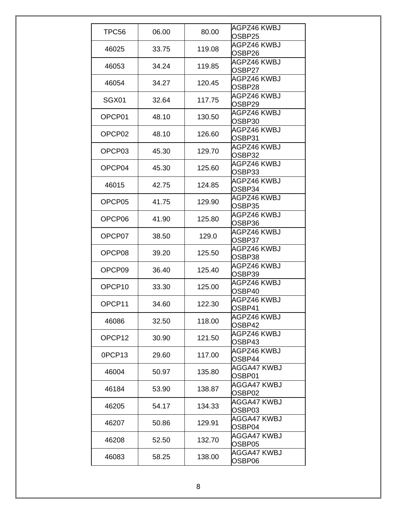| TPC56              | 06.00 | 80.00  | AGPZ46 KWBJ<br>OSBP25        |
|--------------------|-------|--------|------------------------------|
| 46025              | 33.75 | 119.08 | <b>AGPZ46 KWBJ</b><br>OSBP26 |
| 46053              | 34.24 | 119.85 | AGPZ46 KWBJ<br>OSBP27        |
| 46054              | 34.27 | 120.45 | AGPZ46 KWBJ<br>OSBP28        |
| SGX01              | 32.64 | 117.75 | AGPZ46 KWBJ<br>OSBP29        |
| OPCP01             | 48.10 | 130.50 | AGPZ46 KWBJ<br>OSBP30        |
| OPCP <sub>02</sub> | 48.10 | 126.60 | AGPZ46 KWBJ<br>OSBP31        |
| OPCP03             | 45.30 | 129.70 | AGPZ46 KWBJ<br>OSBP32        |
| OPCP04             | 45.30 | 125.60 | AGPZ46 KWBJ<br>OSBP33        |
| 46015              | 42.75 | 124.85 | AGPZ46 KWBJ<br>OSBP34        |
| OPCP05             | 41.75 | 129.90 | AGPZ46 KWBJ<br>OSBP35        |
| OPCP06             | 41.90 | 125.80 | AGPZ46 KWBJ<br>OSBP36        |
| OPCP07             | 38.50 | 129.0  | AGPZ46 KWBJ<br>OSBP37        |
| OPCP08             | 39.20 | 125.50 | AGPZ46 KWBJ<br>OSBP38        |
| OPCP09             | 36.40 | 125.40 | AGPZ46 KWBJ<br>OSBP39        |
| OPCP <sub>10</sub> | 33.30 | 125.00 | AGPZ46 KWBJ<br>OSBP40        |
| OPCP <sub>11</sub> | 34.60 | 122.30 | AGPZ46 KWBJ<br>OSBP41        |
| 46086              | 32.50 | 118.00 | AGPZ46 KWBJ<br>OSBP42        |
| OPCP <sub>12</sub> | 30.90 | 121.50 | AGPZ46 KWBJ<br>OSBP43        |
| 0PCP13             | 29.60 | 117.00 | AGPZ46 KWBJ<br>OSBP44        |
| 46004              | 50.97 | 135.80 | AGGA47 KWBJ<br>OSBP01        |
| 46184              | 53.90 | 138.87 | AGGA47 KWBJ<br>OSBP02        |
| 46205              | 54.17 | 134.33 | AGGA47 KWBJ<br>OSBP03        |
| 46207              | 50.86 | 129.91 | AGGA47 KWBJ<br>OSBP04        |
| 46208              | 52.50 | 132.70 | AGGA47 KWBJ<br>OSBP05        |
| 46083              | 58.25 | 138.00 | AGGA47 KWBJ<br>OSBP06        |
|                    |       |        |                              |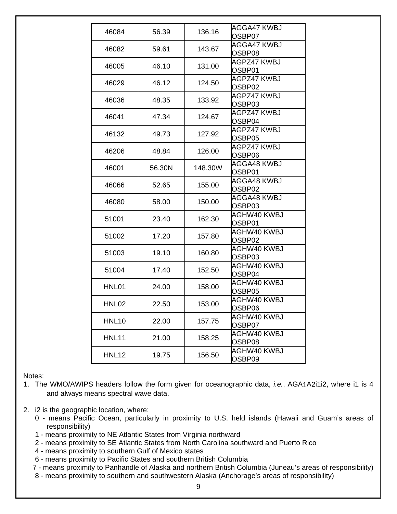| 46084             | 56.39  | 136.16  | AGGA47 KWBJ<br>OSBP07 |
|-------------------|--------|---------|-----------------------|
| 46082             | 59.61  | 143.67  | AGGA47 KWBJ<br>OSBP08 |
| 46005             | 46.10  | 131.00  | AGPZ47 KWBJ<br>OSBP01 |
| 46029             | 46.12  | 124.50  | AGPZ47 KWBJ<br>OSBP02 |
| 46036             | 48.35  | 133.92  | AGPZ47 KWBJ<br>OSBP03 |
| 46041             | 47.34  | 124.67  | AGPZ47 KWBJ<br>OSBP04 |
| 46132             | 49.73  | 127.92  | AGPZ47 KWBJ<br>OSBP05 |
| 46206             | 48.84  | 126.00  | AGPZ47 KWBJ<br>OSBP06 |
| 46001             | 56.30N | 148.30W | AGGA48 KWBJ<br>OSBP01 |
| 46066             | 52.65  | 155.00  | AGGA48 KWBJ<br>OSBP02 |
| 46080             | 58.00  | 150.00  | AGGA48 KWBJ<br>OSBP03 |
| 51001             | 23.40  | 162.30  | AGHW40 KWBJ<br>OSBP01 |
| 51002             | 17.20  | 157.80  | AGHW40 KWBJ<br>OSBP02 |
| 51003             | 19.10  | 160.80  | AGHW40 KWBJ<br>OSBP03 |
| 51004             | 17.40  | 152.50  | AGHW40 KWBJ<br>OSBP04 |
| HNL01             | 24.00  | 158.00  | AGHW40 KWBJ<br>OSBP05 |
| HNL <sub>02</sub> | 22.50  | 153.00  | AGHW40 KWBJ<br>OSBP06 |
| <b>HNL10</b>      | 22.00  | 157.75  | AGHW40 KWBJ<br>OSBP07 |
| <b>HNL11</b>      | 21.00  | 158.25  | AGHW40 KWBJ<br>OSBP08 |
| <b>HNL12</b>      | 19.75  | 156.50  | AGHW40 KWBJ<br>OSBP09 |

Notes:

- 1. The WMO/AWIPS headers follow the form given for oceanographic data, *i.e.*, AGA1A2i1i2, where i1 is 4 and always means spectral wave data.
- 2. i2 is the geographic location, where:
	- 0 means Pacific Ocean, particularly in proximity to U.S. held islands (Hawaii and Guam's areas of responsibility)
	- 1 means proximity to NE Atlantic States from Virginia northward
	- 2 means proximity to SE Atlantic States from North Carolina southward and Puerto Rico
	- 4 means proximity to southern Gulf of Mexico states
	- 6 means proximity to Pacific States and southern British Columbia
	- 7 means proximity to Panhandle of Alaska and northern British Columbia (Juneau's areas of responsibility)
	- 8 means proximity to southern and southwestern Alaska (Anchorage's areas of responsibility)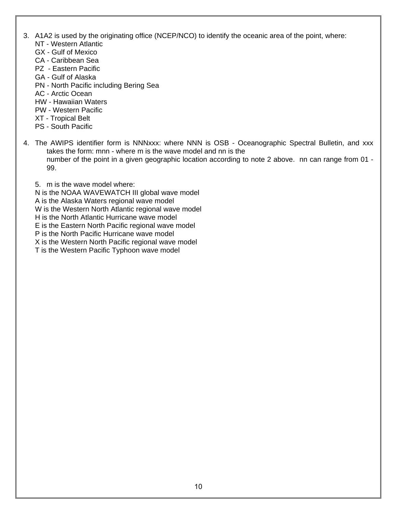- 3. A1A2 is used by the originating office (NCEP/NCO) to identify the oceanic area of the point, where:
	- NT Western Atlantic
	- GX Gulf of Mexico
	- CA Caribbean Sea
	- PZ Eastern Pacific
	- GA Gulf of Alaska
	- PN North Pacific including Bering Sea
	- AC Arctic Ocean
	- HW Hawaiian Waters
	- PW Western Pacific
	- XT Tropical Belt
	- PS South Pacific
- 4. The AWIPS identifier form is NNNxxx: where NNN is OSB Oceanographic Spectral Bulletin, and xxx takes the form: mnn - where m is the wave model and nn is the number of the point in a given geographic location according to note 2 above. nn can range from 01 - 99.
	- 5. m is the wave model where:
	- N is the NOAA WAVEWATCH III global wave model
	- A is the Alaska Waters regional wave model
	- W is the Western North Atlantic regional wave model
	- H is the North Atlantic Hurricane wave model
	- E is the Eastern North Pacific regional wave model
	- P is the North Pacific Hurricane wave model
	- X is the Western North Pacific regional wave model
	- T is the Western Pacific Typhoon wave model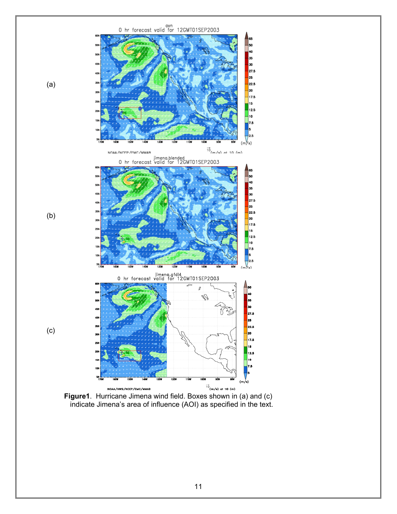